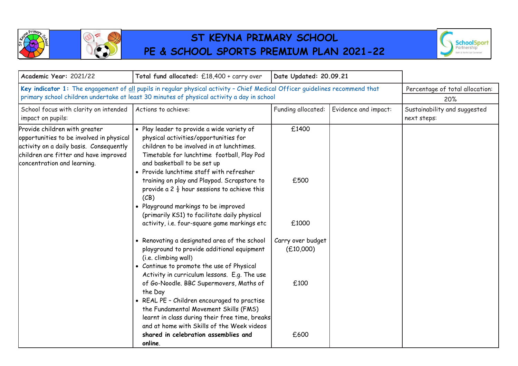

## **ST KEYNA PRIMARY SCHOOL PE & SCHOOL SPORTS PREMIUM PLAN 2021-22**



| Academic Year: 2021/22                                                                                                                                                                       | Total fund allocated: £18,400 + carry over                                                                                                                                                                                                                                                                                                                                                                                                                                                                                                                                                                                                                                                                                                                                                                                                                                                                                                                                                                                              | Date Updated: 20.09.21                                                   |                                 |                                             |
|----------------------------------------------------------------------------------------------------------------------------------------------------------------------------------------------|-----------------------------------------------------------------------------------------------------------------------------------------------------------------------------------------------------------------------------------------------------------------------------------------------------------------------------------------------------------------------------------------------------------------------------------------------------------------------------------------------------------------------------------------------------------------------------------------------------------------------------------------------------------------------------------------------------------------------------------------------------------------------------------------------------------------------------------------------------------------------------------------------------------------------------------------------------------------------------------------------------------------------------------------|--------------------------------------------------------------------------|---------------------------------|---------------------------------------------|
| Key indicator 1: The engagement of all pupils in regular physical activity - Chief Medical Officer guidelines recommend that                                                                 |                                                                                                                                                                                                                                                                                                                                                                                                                                                                                                                                                                                                                                                                                                                                                                                                                                                                                                                                                                                                                                         |                                                                          | Percentage of total allocation: |                                             |
| primary school children undertake at least 30 minutes of physical activity a day in school                                                                                                   |                                                                                                                                                                                                                                                                                                                                                                                                                                                                                                                                                                                                                                                                                                                                                                                                                                                                                                                                                                                                                                         |                                                                          | 20%                             |                                             |
| School focus with clarity on intended<br>impact on pupils:                                                                                                                                   | Actions to achieve:                                                                                                                                                                                                                                                                                                                                                                                                                                                                                                                                                                                                                                                                                                                                                                                                                                                                                                                                                                                                                     | Funding allocated:                                                       | Evidence and impact:            | Sustainability and suggested<br>next steps: |
| Provide children with greater<br>opportunities to be involved in physical<br>activity on a daily basis. Consequently<br>children are fitter and have improved<br>concentration and learning. | · Play leader to provide a wide variety of<br>physical activities/opportunities for<br>children to be involved in at lunchtimes.<br>Timetable for lunchtime football, Play Pod<br>and basketball to be set up<br>• Provide lunchtime staff with refresher<br>training on play and Playpod. Scrapstore to<br>provide a 2 $\frac{1}{2}$ hour sessions to achieve this<br>(CB)<br>• Playground markings to be improved<br>(primarily KS1) to facilitate daily physical<br>activity, i.e. four-square game markings etc<br>• Renovating a designated area of the school<br>playground to provide additional equipment<br>(i.e. climbing wall)<br>• Continue to promote the use of Physical<br>Activity in curriculum lessons. E.g. The use<br>of Go-Noodle. BBC Supermovers, Maths of<br>the Day<br>• REAL PE - Children encouraged to practise<br>the Fundamental Movement Skills (FMS)<br>learnt in class during their free time, breaks<br>and at home with Skills of the Week videos<br>shared in celebration assemblies and<br>online. | £1400<br>£500<br>£1000<br>Carry over budget<br>(E10,000)<br>£100<br>£600 |                                 |                                             |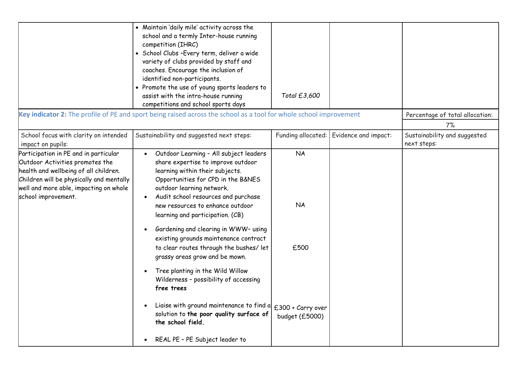|                                                                                                                                                                                                                                | • Maintain 'daily mile' activity across the<br>school and a termly Inter-house running<br>competition (IHRC)<br>· School Clubs-Every term, deliver a wide<br>variety of clubs provided by staff and<br>coaches. Encourage the inclusion of<br>identified non-participants.<br>• Promote the use of young sports leaders to<br>assist with the intra-house running<br>competitions and school sports days                                                                                                                                                                                                                                                                                                 | Total £3,600                                                          |                                         |                                             |
|--------------------------------------------------------------------------------------------------------------------------------------------------------------------------------------------------------------------------------|----------------------------------------------------------------------------------------------------------------------------------------------------------------------------------------------------------------------------------------------------------------------------------------------------------------------------------------------------------------------------------------------------------------------------------------------------------------------------------------------------------------------------------------------------------------------------------------------------------------------------------------------------------------------------------------------------------|-----------------------------------------------------------------------|-----------------------------------------|---------------------------------------------|
|                                                                                                                                                                                                                                | Key indicator 2: The profile of PE and sport being raised across the school as a tool for whole school improvement                                                                                                                                                                                                                                                                                                                                                                                                                                                                                                                                                                                       |                                                                       |                                         | Percentage of total allocation:             |
|                                                                                                                                                                                                                                |                                                                                                                                                                                                                                                                                                                                                                                                                                                                                                                                                                                                                                                                                                          |                                                                       |                                         | 7%                                          |
| School focus with clarity on intended<br>impact on pupils:                                                                                                                                                                     | Sustainability and suggested next steps:                                                                                                                                                                                                                                                                                                                                                                                                                                                                                                                                                                                                                                                                 |                                                                       | Funding allocated: Evidence and impact: | Sustainability and suggested<br>next steps: |
| Participation in PE and in particular<br>Outdoor Activities promotes the<br>health and wellbeing of all children.<br>Children will be physically and mentally<br>well and more able, impacting on whole<br>school improvement. | Outdoor Learning - All subject leaders<br>share expertise to improve outdoor<br>learning within their subjects.<br>Opportunities for CPD in the B&NES<br>outdoor learning network.<br>Audit school resources and purchase<br>new resources to enhance outdoor<br>learning and participation. (CB)<br>Gardening and clearing in WWW- using<br>existing grounds maintenance contract<br>to clear routes through the bushes/ let<br>grassy areas grow and be mown.<br>Tree planting in the Wild Willow<br>Wilderness - possibility of accessing<br>free trees<br>Liaise with ground maintenance to find a<br>solution to the poor quality surface of<br>the school field.<br>REAL PE - PE Subject leader to | <b>NA</b><br><b>NA</b><br>£500<br>£300 + Carry over<br>budget (£5000) |                                         |                                             |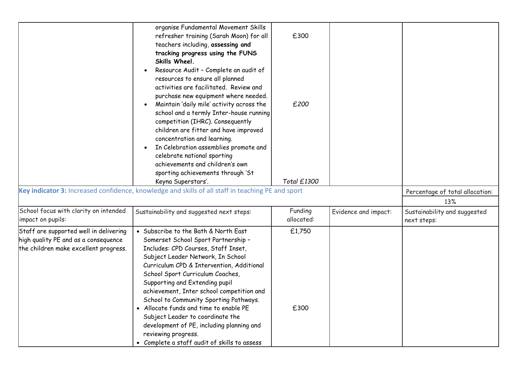|                                        | organise Fundamental Movement Skills<br>refresher training (Sarah Moon) for all                   | £300        |                      |                                 |
|----------------------------------------|---------------------------------------------------------------------------------------------------|-------------|----------------------|---------------------------------|
|                                        | teachers including, assessing and                                                                 |             |                      |                                 |
|                                        | tracking progress using the FUNS                                                                  |             |                      |                                 |
|                                        | Skills Wheel.                                                                                     |             |                      |                                 |
|                                        | Resource Audit - Complete an audit of                                                             |             |                      |                                 |
|                                        | resources to ensure all planned                                                                   |             |                      |                                 |
|                                        | activities are facilitated. Review and                                                            |             |                      |                                 |
|                                        | purchase new equipment where needed.                                                              |             |                      |                                 |
|                                        | Maintain 'daily mile' activity across the                                                         | £200        |                      |                                 |
|                                        | school and a termly Inter-house running                                                           |             |                      |                                 |
|                                        | competition (IHRC). Consequently                                                                  |             |                      |                                 |
|                                        | children are fitter and have improved                                                             |             |                      |                                 |
|                                        | concentration and learning.                                                                       |             |                      |                                 |
|                                        | In Celebration assemblies promote and                                                             |             |                      |                                 |
|                                        | celebrate national sporting                                                                       |             |                      |                                 |
|                                        | achievements and children's own                                                                   |             |                      |                                 |
|                                        | sporting achievements through 'St                                                                 |             |                      |                                 |
|                                        | Keyna Superstars'.                                                                                | Total £1300 |                      |                                 |
|                                        |                                                                                                   |             |                      |                                 |
|                                        | Key indicator 3: Increased confidence, knowledge and skills of all staff in teaching PE and sport |             |                      | Percentage of total allocation: |
|                                        |                                                                                                   |             |                      | 13%                             |
| School focus with clarity on intended  |                                                                                                   | Funding     | Evidence and impact: | Sustainability and suggested    |
| impact on pupils:                      | Sustainability and suggested next steps:                                                          | allocated:  |                      | next steps:                     |
| Staff are supported well in delivering | • Subscribe to the Bath & North East                                                              | £1,750      |                      |                                 |
| high quality PE and as a consequence   | Somerset School Sport Partnership -                                                               |             |                      |                                 |
| the children make excellent progress.  | Includes: CPD Courses, Staff Inset,                                                               |             |                      |                                 |
|                                        | Subject Leader Network, In School                                                                 |             |                      |                                 |
|                                        | Curriculum CPD & Intervention, Additional                                                         |             |                      |                                 |
|                                        | School Sport Curriculum Coaches,                                                                  |             |                      |                                 |
|                                        | Supporting and Extending pupil                                                                    |             |                      |                                 |
|                                        | achievement, Inter school competition and                                                         |             |                      |                                 |
|                                        | School to Community Sporting Pathways.                                                            |             |                      |                                 |
|                                        | • Allocate funds and time to enable PE                                                            | £300        |                      |                                 |
|                                        | Subject Leader to coordinate the                                                                  |             |                      |                                 |
|                                        | development of PE, including planning and                                                         |             |                      |                                 |
|                                        | reviewing progress.<br>• Complete a staff audit of skills to assess                               |             |                      |                                 |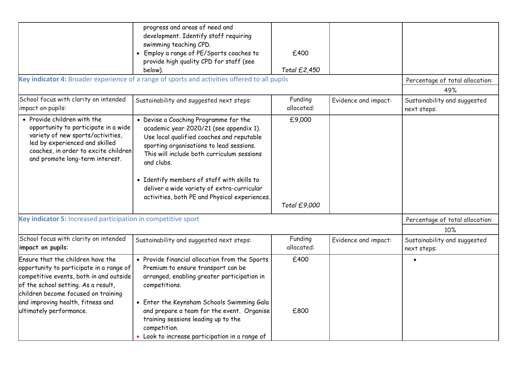|                                                                                                                                                                                                                                                                        | progress and areas of need and<br>development. Identify staff requiring<br>swimming teaching CPD.<br>• Employ a range of PE/Sports coaches to<br>provide high quality CPD for staff (see<br>below).<br>Key indicator 4: Broader experience of a range of sports and activities offered to all pupils                                                                               | £400<br>Total £2,450   |                      | Percentage of total allocation:             |
|------------------------------------------------------------------------------------------------------------------------------------------------------------------------------------------------------------------------------------------------------------------------|------------------------------------------------------------------------------------------------------------------------------------------------------------------------------------------------------------------------------------------------------------------------------------------------------------------------------------------------------------------------------------|------------------------|----------------------|---------------------------------------------|
|                                                                                                                                                                                                                                                                        |                                                                                                                                                                                                                                                                                                                                                                                    |                        |                      | 49%                                         |
| School focus with clarity on intended<br>impact on pupils:                                                                                                                                                                                                             | Sustainability and suggested next steps:                                                                                                                                                                                                                                                                                                                                           | Funding<br>allocated:  | Evidence and impact: | Sustainability and suggested<br>next steps: |
| • Provide children with the<br>opportunity to participate in a wide<br>variety of new sports/activities,<br>led by experienced and skilled<br>coaches, in order to excite children<br>and promote long-term interest.                                                  | • Devise a Coaching Programme for the<br>academic year 2020/21 (see appendix 1).<br>Use local qualified coaches and reputable<br>sporting organisations to lead sessions.<br>This will include both curriculum sessions<br>and clubs.<br>• Identify members of staff with skills to<br>deliver a wide variety of extra-curricular<br>activities, both PE and Physical experiences. | £9,000<br>Total £9,000 |                      |                                             |
| Key indicator 5: Increased participation in competitive sport                                                                                                                                                                                                          | Percentage of total allocation:<br>10%                                                                                                                                                                                                                                                                                                                                             |                        |                      |                                             |
| School focus with clarity on intended<br>impact on pupils:                                                                                                                                                                                                             | Sustainability and suggested next steps:                                                                                                                                                                                                                                                                                                                                           | Funding<br>allocated:  | Evidence and impact: | Sustainability and suggested<br>next steps: |
| Ensure that the children have the<br>opportunity to participate in a range of<br>competitive events, both in and outside<br>of the school setting. As a result,<br>children become focused on training<br>and improving health, fitness and<br>ultimately performance. | • Provide financial allocation from the Sports<br>Premium to ensure transport can be<br>arranged, enabling greater participation in<br>competitions.<br>• Enter the Keynsham Schools Swimming Gala<br>and prepare a team for the event. Organise<br>training sessions leading up to the<br>competition.<br>• Look to increase participation in a range of                          | £400<br>£800           |                      |                                             |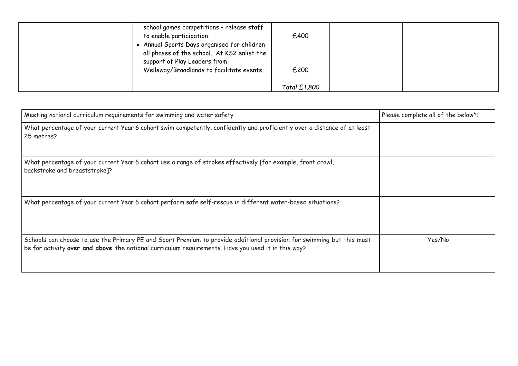| school games competitions - release staff<br>to enable participation.<br>Annual Sports Days organised for children<br>all phases of the school. At KS2 enlist the<br>support of Play Leaders from<br>Wellsway/Broadlands to facilitate events. | £400<br>£200 |  |
|------------------------------------------------------------------------------------------------------------------------------------------------------------------------------------------------------------------------------------------------|--------------|--|
|                                                                                                                                                                                                                                                | Total £1,800 |  |

| Meeting national curriculum requirements for swimming and water safety                                                                                                                                                      | Please complete all of the below*: |
|-----------------------------------------------------------------------------------------------------------------------------------------------------------------------------------------------------------------------------|------------------------------------|
| What percentage of your current Year 6 cohort swim competently, confidently and proficiently over a distance of at least<br>25 metres?                                                                                      |                                    |
| What percentage of your current Year 6 cohort use a range of strokes effectively [for example, front crawl,<br>backstroke and breaststroke]?                                                                                |                                    |
| What percentage of your current Year 6 cohort perform safe self-rescue in different water-based situations?                                                                                                                 |                                    |
| Schools can choose to use the Primary PE and Sport Premium to provide additional provision for swimming but this must<br>be for activity over and above the national curriculum requirements. Have you used it in this way? | Yes/No                             |